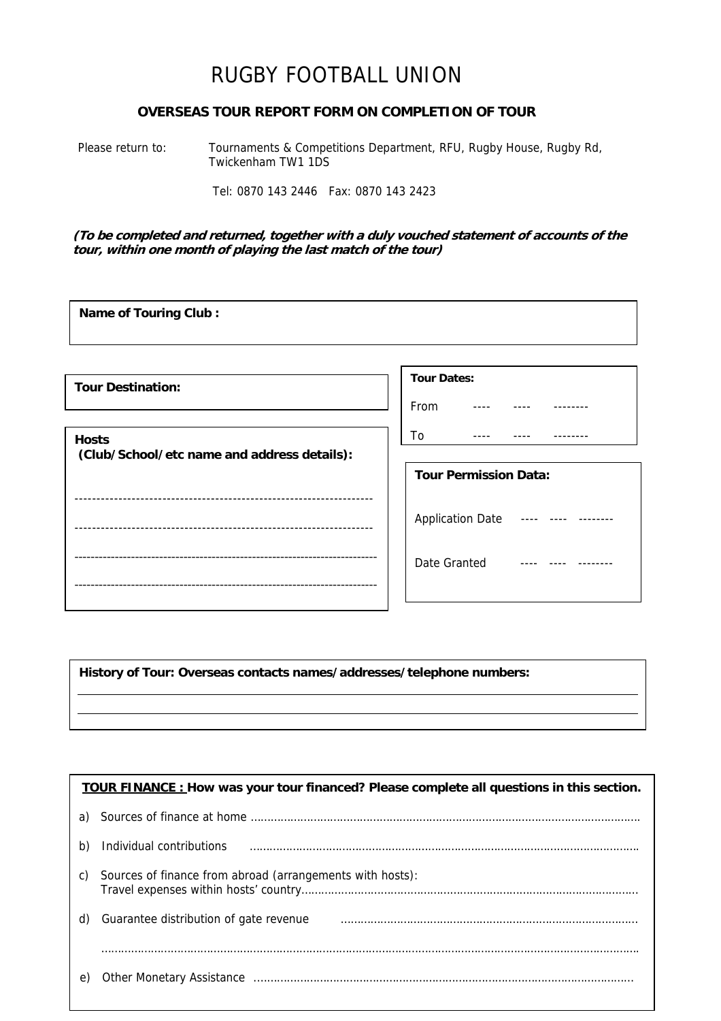## RUGBY FOOTBALL UNION

## **OVERSEAS TOUR REPORT FORM ON COMPLETION OF TOUR**

Please return to: Tournaments & Competitions Department, RFU, Rugby House, Rugby Rd, Twickenham TW1 1DS

Tel: 0870 143 2446 Fax: 0870 143 2423

**Name of Touring Club :**

**(To be completed and returned, together with a duly vouched statement of accounts of the tour, within one month of playing the last match of the tour)** 

**Tour Dates:** From ---- ---- -------- $T_0$  ---- ---- --------**Tour Destination: Hosts (Club/School/etc name and address details):**  -------------------------------------------------------------------- --------------------------------------------------------------------  $-$ --------------------------------------------------------------------------- **Tour Permission Data:**  Application Date ---- ---- --------Date Granted ---- ---- --------

**History of Tour: Overseas contacts names/addresses/telephone numbers:** 

| <b>TOUR FINANCE</b> : How was your tour financed? Please complete all questions in this section. |                                                           |  |
|--------------------------------------------------------------------------------------------------|-----------------------------------------------------------|--|
| a)                                                                                               |                                                           |  |
| b)                                                                                               | Individual contributions                                  |  |
| C)                                                                                               | Sources of finance from abroad (arrangements with hosts): |  |
| d)                                                                                               | Guarantee distribution of gate revenue                    |  |
|                                                                                                  |                                                           |  |
| e                                                                                                |                                                           |  |
|                                                                                                  |                                                           |  |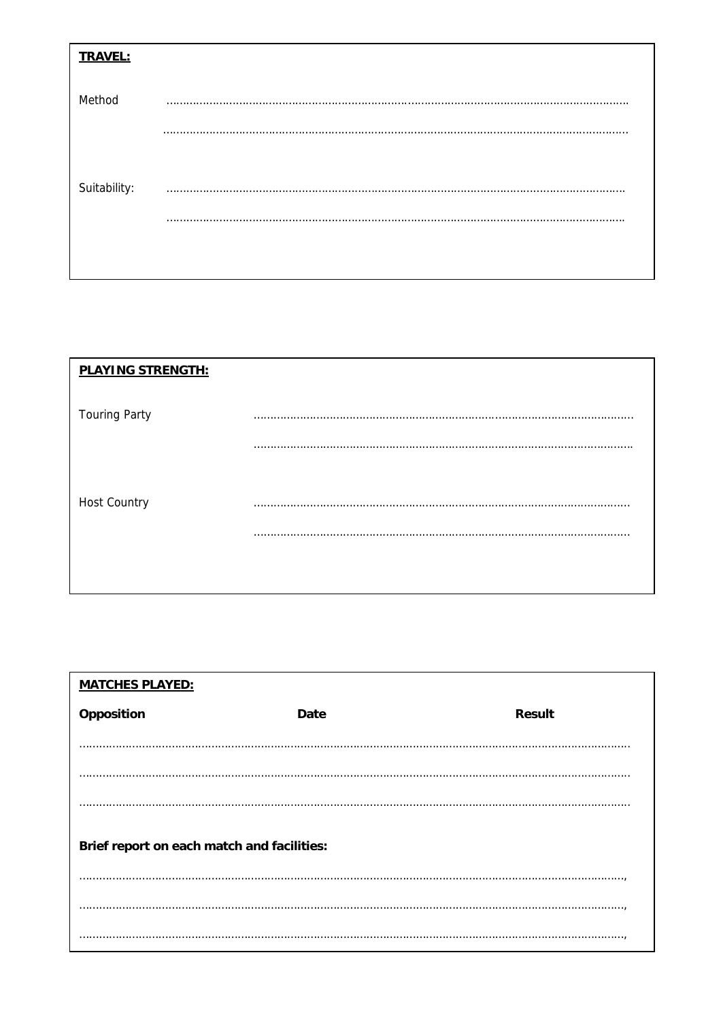| <b>TRAVEL:</b> |   |
|----------------|---|
| Method         | . |
|                |   |
| Suitability:   |   |
|                |   |
|                |   |

| <b>PLAYING STRENGTH:</b> |                 |
|--------------------------|-----------------|
| <b>Touring Party</b>     | .<br>$\cdots$   |
|                          |                 |
|                          |                 |
| Host Country             | .<br>.<br><br>. |
|                          |                 |
|                          |                 |

| <b>MATCHES PLAYED:</b>                     |             |               |  |  |
|--------------------------------------------|-------------|---------------|--|--|
| Opposition                                 | <b>Date</b> | <b>Result</b> |  |  |
|                                            |             |               |  |  |
|                                            |             |               |  |  |
|                                            |             |               |  |  |
| Brief report on each match and facilities: |             |               |  |  |
|                                            |             |               |  |  |
|                                            |             |               |  |  |
|                                            |             |               |  |  |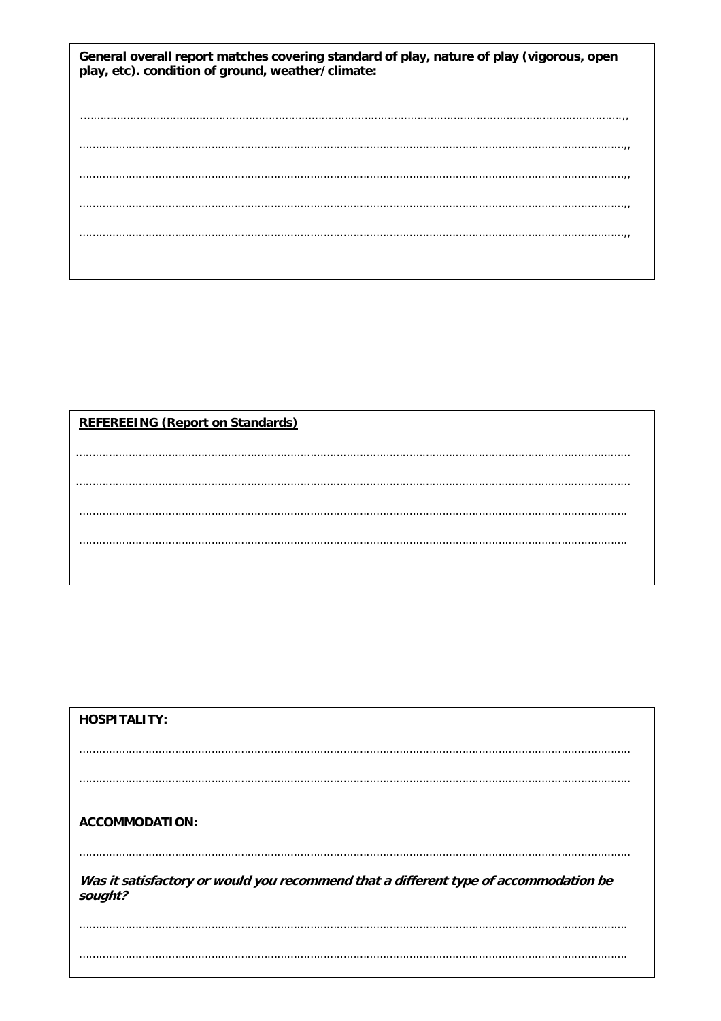| General overall report matches covering standard of play, nature of play (vigorous, open<br>play, etc). condition of ground, weather/climate: |  |  |
|-----------------------------------------------------------------------------------------------------------------------------------------------|--|--|
|                                                                                                                                               |  |  |
|                                                                                                                                               |  |  |
|                                                                                                                                               |  |  |
|                                                                                                                                               |  |  |
|                                                                                                                                               |  |  |
|                                                                                                                                               |  |  |
|                                                                                                                                               |  |  |
|                                                                                                                                               |  |  |
|                                                                                                                                               |  |  |
|                                                                                                                                               |  |  |
|                                                                                                                                               |  |  |
|                                                                                                                                               |  |  |
|                                                                                                                                               |  |  |

## **REFEREEING (Report on Standards)**

| <b>HOSPITALITY:</b>                                                                             |  |
|-------------------------------------------------------------------------------------------------|--|
|                                                                                                 |  |
|                                                                                                 |  |
| <b>ACCOMMODATION:</b>                                                                           |  |
| Was it satisfactory or would you recommend that a different type of accommodation be<br>sought? |  |
|                                                                                                 |  |
|                                                                                                 |  |